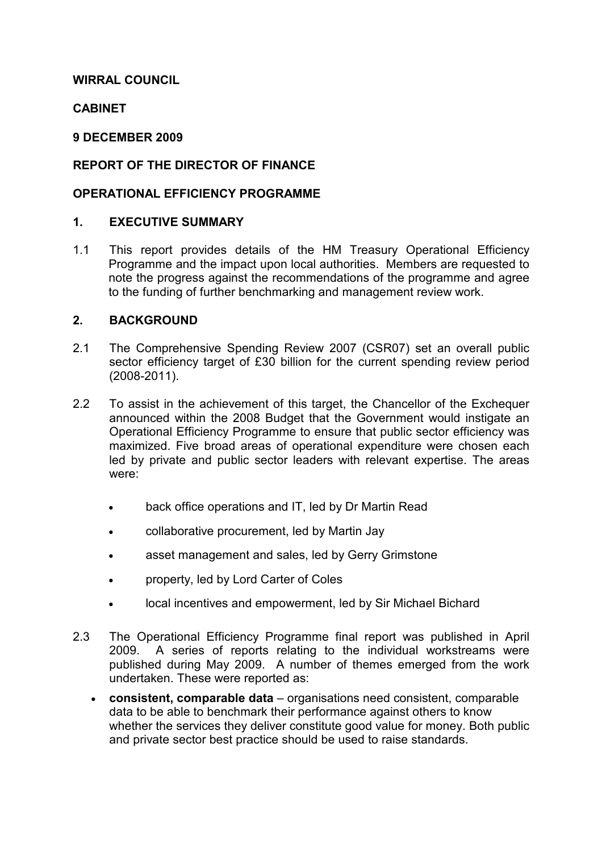### WIRRAL COUNCIL

### **CABINET**

#### 9 DECEMBER 2009

### REPORT OF THE DIRECTOR OF FINANCE

#### OPERATIONAL EFFICIENCY PROGRAMME

### 1. EXECUTIVE SUMMARY

1.1 This report provides details of the HM Treasury Operational Efficiency Programme and the impact upon local authorities. Members are requested to note the progress against the recommendations of the programme and agree to the funding of further benchmarking and management review work.

### 2. BACKGROUND

- 2.1 The Comprehensive Spending Review 2007 (CSR07) set an overall public sector efficiency target of £30 billion for the current spending review period (2008-2011).
- 2.2 To assist in the achievement of this target, the Chancellor of the Exchequer announced within the 2008 Budget that the Government would instigate an Operational Efficiency Programme to ensure that public sector efficiency was maximized. Five broad areas of operational expenditure were chosen each led by private and public sector leaders with relevant expertise. The areas were:
	- back office operations and IT, led by Dr Martin Read
	- collaborative procurement, led by Martin Jay
	- asset management and sales, led by Gerry Grimstone
	- property, led by Lord Carter of Coles
	- local incentives and empowerment, led by Sir Michael Bichard
- 2.3 The Operational Efficiency Programme final report was published in April 2009. A series of reports relating to the individual workstreams were published during May 2009. A number of themes emerged from the work undertaken. These were reported as:
	- consistent, comparable data organisations need consistent, comparable data to be able to benchmark their performance against others to know whether the services they deliver constitute good value for money. Both public and private sector best practice should be used to raise standards.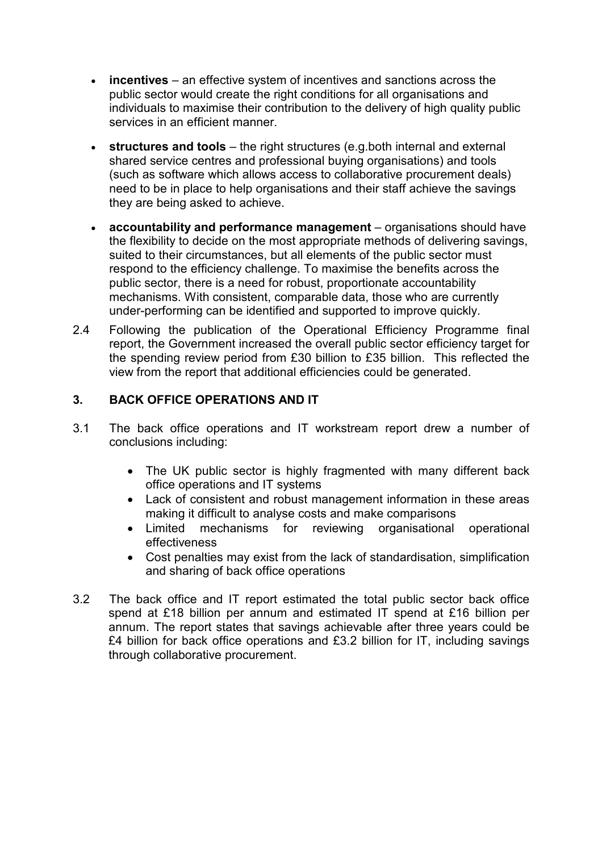- incentives an effective system of incentives and sanctions across the public sector would create the right conditions for all organisations and individuals to maximise their contribution to the delivery of high quality public services in an efficient manner.
- structures and tools the right structures (e.g.both internal and external shared service centres and professional buying organisations) and tools (such as software which allows access to collaborative procurement deals) need to be in place to help organisations and their staff achieve the savings they are being asked to achieve.
- accountability and performance management organisations should have the flexibility to decide on the most appropriate methods of delivering savings, suited to their circumstances, but all elements of the public sector must respond to the efficiency challenge. To maximise the benefits across the public sector, there is a need for robust, proportionate accountability mechanisms. With consistent, comparable data, those who are currently under-performing can be identified and supported to improve quickly.
- 2.4 Following the publication of the Operational Efficiency Programme final report, the Government increased the overall public sector efficiency target for the spending review period from £30 billion to £35 billion. This reflected the view from the report that additional efficiencies could be generated.

# 3. BACK OFFICE OPERATIONS AND IT

- 3.1 The back office operations and IT workstream report drew a number of conclusions including:
	- The UK public sector is highly fragmented with many different back office operations and IT systems
	- Lack of consistent and robust management information in these areas making it difficult to analyse costs and make comparisons
	- Limited mechanisms for reviewing organisational operational effectiveness
	- Cost penalties may exist from the lack of standardisation, simplification and sharing of back office operations
- 3.2 The back office and IT report estimated the total public sector back office spend at £18 billion per annum and estimated IT spend at £16 billion per annum. The report states that savings achievable after three years could be £4 billion for back office operations and £3.2 billion for IT, including savings through collaborative procurement.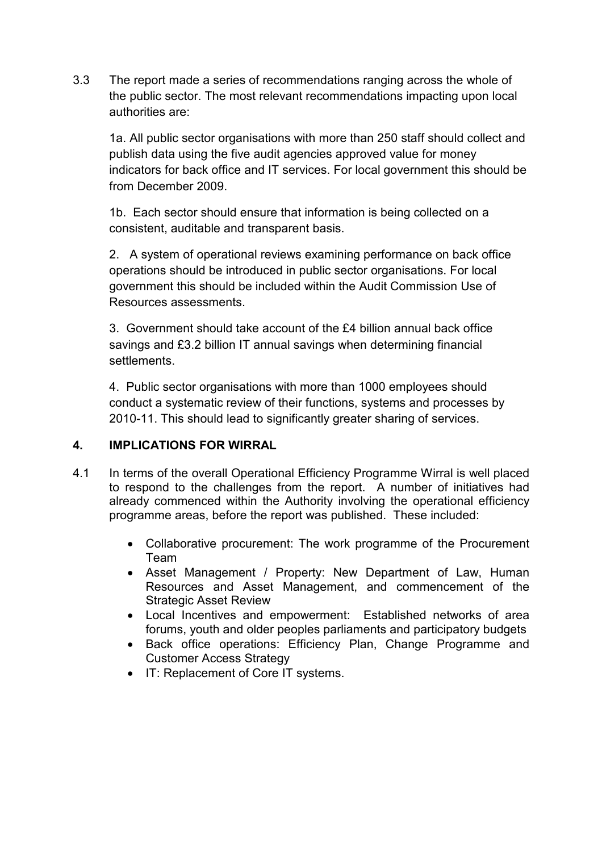3.3 The report made a series of recommendations ranging across the whole of the public sector. The most relevant recommendations impacting upon local authorities are:

 1a. All public sector organisations with more than 250 staff should collect and publish data using the five audit agencies approved value for money indicators for back office and IT services. For local government this should be from December 2009.

 1b. Each sector should ensure that information is being collected on a consistent, auditable and transparent basis.

 2. A system of operational reviews examining performance on back office operations should be introduced in public sector organisations. For local government this should be included within the Audit Commission Use of Resources assessments.

 3. Government should take account of the £4 billion annual back office savings and £3.2 billion IT annual savings when determining financial settlements.

 4. Public sector organisations with more than 1000 employees should conduct a systematic review of their functions, systems and processes by 2010-11. This should lead to significantly greater sharing of services.

## 4. IMPLICATIONS FOR WIRRAL

- 4.1 In terms of the overall Operational Efficiency Programme Wirral is well placed to respond to the challenges from the report. A number of initiatives had already commenced within the Authority involving the operational efficiency programme areas, before the report was published. These included:
	- Collaborative procurement: The work programme of the Procurement Team
	- Asset Management / Property: New Department of Law, Human Resources and Asset Management, and commencement of the Strategic Asset Review
	- Local Incentives and empowerment: Established networks of area forums, youth and older peoples parliaments and participatory budgets
	- Back office operations: Efficiency Plan, Change Programme and Customer Access Strategy
	- IT: Replacement of Core IT systems.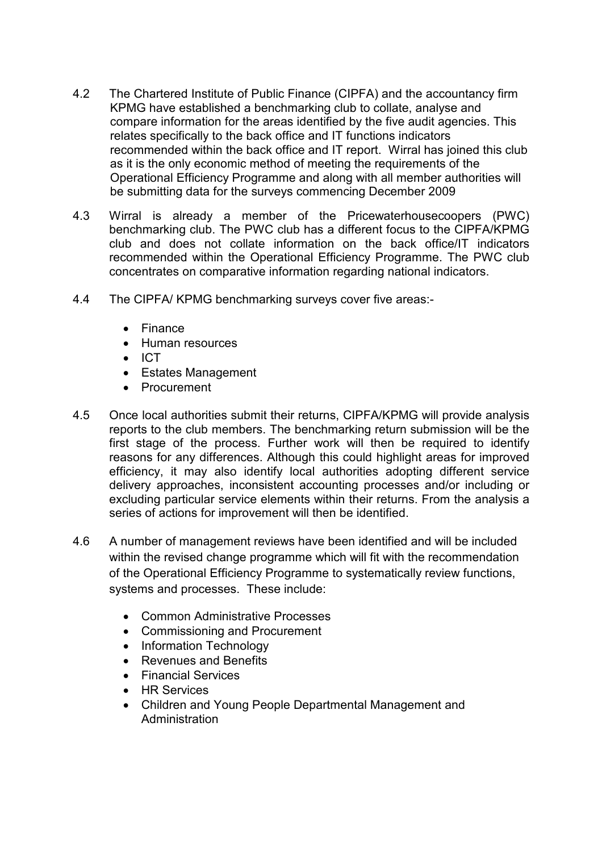- 4.2 The Chartered Institute of Public Finance (CIPFA) and the accountancy firm KPMG have established a benchmarking club to collate, analyse and compare information for the areas identified by the five audit agencies. This relates specifically to the back office and IT functions indicators recommended within the back office and IT report. Wirral has joined this club as it is the only economic method of meeting the requirements of the Operational Efficiency Programme and along with all member authorities will be submitting data for the surveys commencing December 2009
- 4.3 Wirral is already a member of the Pricewaterhousecoopers (PWC) benchmarking club. The PWC club has a different focus to the CIPFA/KPMG club and does not collate information on the back office/IT indicators recommended within the Operational Efficiency Programme. The PWC club concentrates on comparative information regarding national indicators.
- 4.4 The CIPFA/ KPMG benchmarking surveys cover five areas:-
	- Finance
	- Human resources
	- ICT
	- Estates Management
	- Procurement
- 4.5 Once local authorities submit their returns, CIPFA/KPMG will provide analysis reports to the club members. The benchmarking return submission will be the first stage of the process. Further work will then be required to identify reasons for any differences. Although this could highlight areas for improved efficiency, it may also identify local authorities adopting different service delivery approaches, inconsistent accounting processes and/or including or excluding particular service elements within their returns. From the analysis a series of actions for improvement will then be identified.
- 4.6 A number of management reviews have been identified and will be included within the revised change programme which will fit with the recommendation of the Operational Efficiency Programme to systematically review functions, systems and processes. These include:
	- Common Administrative Processes
	- Commissioning and Procurement
	- Information Technology
	- Revenues and Benefits
	- Financial Services
	- HR Services
	- Children and Young People Departmental Management and Administration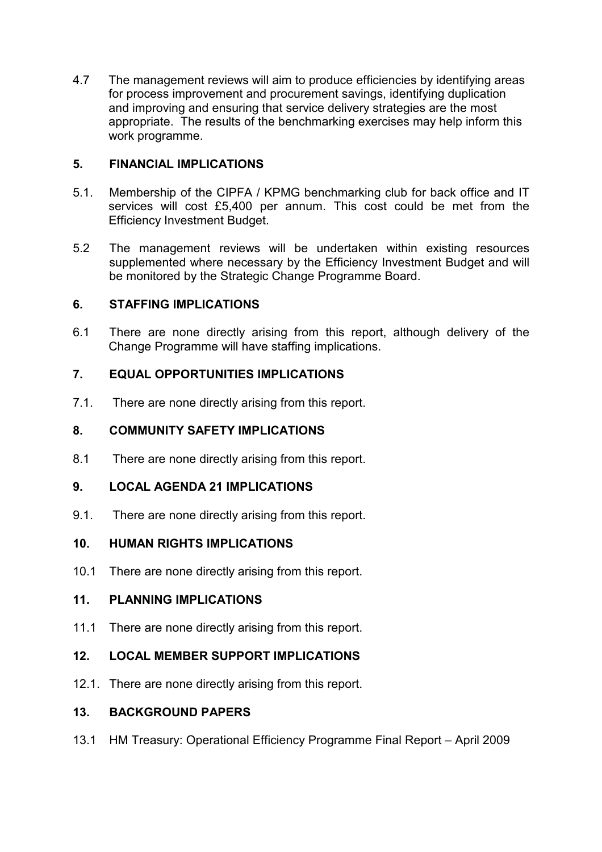4.7 The management reviews will aim to produce efficiencies by identifying areas for process improvement and procurement savings, identifying duplication and improving and ensuring that service delivery strategies are the most appropriate. The results of the benchmarking exercises may help inform this work programme.

## 5. FINANCIAL IMPLICATIONS

- 5.1. Membership of the CIPFA / KPMG benchmarking club for back office and IT services will cost £5,400 per annum. This cost could be met from the Efficiency Investment Budget.
- 5.2 The management reviews will be undertaken within existing resources supplemented where necessary by the Efficiency Investment Budget and will be monitored by the Strategic Change Programme Board.

### 6. STAFFING IMPLICATIONS

6.1 There are none directly arising from this report, although delivery of the Change Programme will have staffing implications.

### 7. EQUAL OPPORTUNITIES IMPLICATIONS

7.1. There are none directly arising from this report.

### 8. COMMUNITY SAFETY IMPLICATIONS

8.1 There are none directly arising from this report.

#### 9. LOCAL AGENDA 21 IMPLICATIONS

9.1. There are none directly arising from this report.

## 10. HUMAN RIGHTS IMPLICATIONS

10.1 There are none directly arising from this report.

## 11. PLANNING IMPLICATIONS

11.1 There are none directly arising from this report.

## 12. LOCAL MEMBER SUPPORT IMPLICATIONS

12.1. There are none directly arising from this report.

#### 13. BACKGROUND PAPERS

13.1 HM Treasury: Operational Efficiency Programme Final Report – April 2009